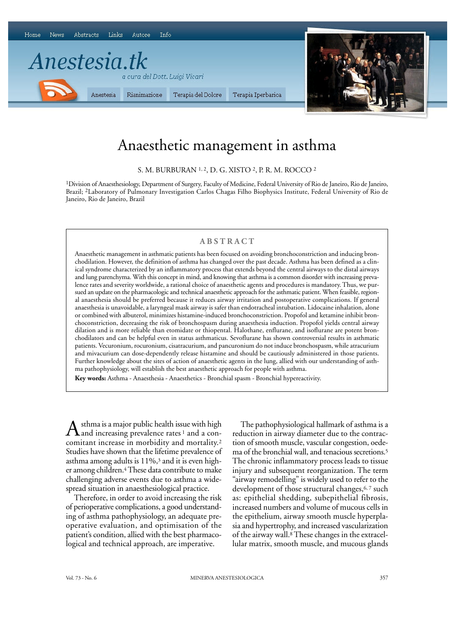

# Anaesthetic management in asthma

S. M. BURBURAN 1, 2, D. G. XISTO <sup>2</sup>, P. R. M. ROCCO <sup>2</sup>

1Division of Anaesthesiology, Department of Surgery, Faculty of Medicine, Federal University of Rio de Janeiro, Rio de Janeiro, Brazil; 2Laboratory of Pulmonary Investigation Carlos Chagas Filho Biophysics Institute, Federal University of Rio de Janeiro, Rio de Janeiro, Brazil

# **ABSTRACT**

Anaesthetic management in asthmatic patients has been focused on avoiding bronchoconstriction and inducing bronchodilation. However, the definition of asthma has changed over the past decade. Asthma has been defined as a clinical syndrome characterized by an inflammatory process that extends beyond the central airways to the distal airways and lung parenchyma. With this concept in mind, and knowing that asthma is a common disorder with increasing prevalence rates and severity worldwide, a rational choice of anaesthetic agents and procedures is mandatory. Thus, we pursued an update on the pharmacologic and technical anaesthetic approach for the asthmatic patient. When feasible, regional anaesthesia should be preferred because it reduces airway irritation and postoperative complications. If general anaesthesia is unavoidable, a laryngeal mask airway is safer than endotracheal intubation. Lidocaine inhalation, alone or combined with albuterol, minimizes histamine-induced bronchoconstriction. Propofol and ketamine inhibit bronchoconstriction, decreasing the risk of bronchospasm during anaesthesia induction. Propofol yields central airway dilation and is more reliable than etomidate or thiopental. Halothane, enflurane, and isoflurane are potent bronchodilators and can be helpful even in status asthmaticus. Sevoflurane has shown controversial results in asthmatic patients. Vecuronium, rocuronium, cisatracurium, and pancuronium do not induce bronchospasm, while atracurium and mivacurium can dose-dependently release histamine and should be cautiously administered in those patients. Further knowledge about the sites of action of anaesthetic agents in the lung, allied with our understanding of asthma pathophysiology, will establish the best anaesthetic approach for people with asthma.

**Key words:** Asthma - Anaesthesia - Anaesthetics - Bronchial spasm - Bronchial hypereactivity.

 $A$ sthma is a major public health issue with high<br>comitant increase in morbidity and mortality.<sup>2</sup> sthma is a major public health issue with high and increasing prevalence rates<sup>1</sup> and a con-Studies have shown that the lifetime prevalence of asthma among adults is 11%,<sup>3</sup> and it is even higher among children.4These data contribute to make challenging adverse events due to asthma a widespread situation in anaesthesiological practice.

Therefore, in order to avoid increasing the risk of perioperative complications, a good understanding of asthma pathophysiology, an adequate preoperative evaluation, and optimisation of the patient's condition, allied with the best pharmacological and technical approach, are imperative.

The pathophysiological hallmark of asthma is a reduction in airway diameter due to the contraction of smooth muscle, vascular congestion, oedema of the bronchial wall, and tenacious secretions.<sup>5</sup> The chronic inflammatory process leads to tissue injury and subsequent reorganization. The term "airway remodelling" is widely used to refer to the development of those structural changes,<sup>6,7</sup> such as: epithelial shedding, subepithelial fibrosis, increased numbers and volume of mucous cells in the epithelium, airway smooth muscle hyperplasia and hypertrophy, and increased vascularization of the airway wall.8These changes in the extracellular matrix, smooth muscle, and mucous glands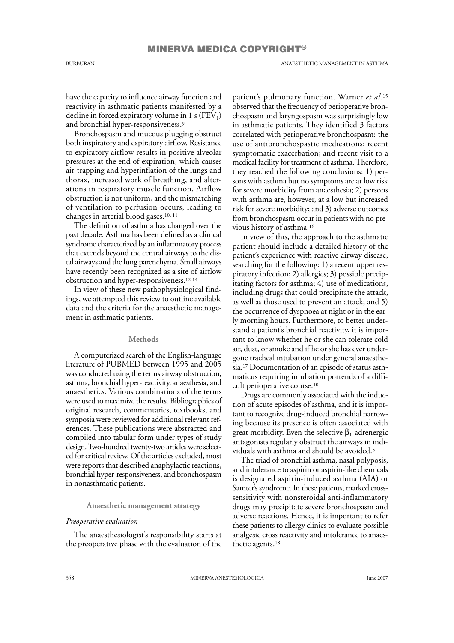BURBURAN ANAESTHETIC MANAGEMENT IN ASTHMA

have the capacity to influence airway function and reactivity in asthmatic patients manifested by a decline in forced expiratory volume in 1 s (FEV<sub>1</sub>) and bronchial hyper-responsiveness.<sup>9</sup>

Bronchospasm and mucous plugging obstruct both inspiratory and expiratory airflow. Resistance to expiratory airflow results in positive alveolar pressures at the end of expiration, which causes air-trapping and hyperinflation of the lungs and thorax, increased work of breathing, and alterations in respiratory muscle function. Airflow obstruction is not uniform, and the mismatching of ventilation to perfusion occurs, leading to changes in arterial blood gases.10, 11

The definition of asthma has changed over the past decade. Asthma has been defined as a clinical syndrome characterized by an inflammatory process that extends beyond the central airways to the distal airways and the lung parenchyma. Small airways have recently been recognized as a site of airflow obstruction and hyper-responsiveness.12-14

In view of these new pathophysiological findings, we attempted this review to outline available data and the criteria for the anaesthetic management in asthmatic patients.

## **Methods**

A computerized search of the English-language literature of PUBMED between 1995 and 2005 was conducted using the terms airway obstruction, asthma, bronchial hyper-reactivity, anaesthesia, and anaesthetics. Various combinations of the terms were used to maximize the results. Bibliographies of original research, commentaries, textbooks, and symposia were reviewed for additional relevant references. These publications were abstracted and compiled into tabular form under types of study design. Two-hundred twenty-two articles were selected for critical review. Of the articles excluded, most were reports that described anaphylactic reactions, bronchial hyper-responsiveness, and bronchospasm in nonasthmatic patients.

# **Anaesthetic management strategy**

# *Preoperative evaluation*

The anaesthesiologist's responsibility starts at the preoperative phase with the evaluation of the patient's pulmonary function. Warner *et al.*<sup>15</sup> observed that the frequency of perioperative bronchospasm and laryngospasm was surprisingly low in asthmatic patients. They identified 3 factors correlated with perioperative bronchospasm: the use of antibronchospastic medications; recent symptomatic exacerbation; and recent visit to a medical facility for treatment of asthma. Therefore, they reached the following conclusions: 1) persons with asthma but no symptoms are at low risk for severe morbidity from anaesthesia; 2) persons with asthma are, however, at a low but increased risk for severe morbidity; and 3) adverse outcomes from bronchospasm occur in patients with no previous history of asthma.<sup>16</sup>

In view of this, the approach to the asthmatic patient should include a detailed history of the patient's experience with reactive airway disease, searching for the following: 1) a recent upper respiratory infection; 2) allergies; 3) possible precipitating factors for asthma; 4) use of medications, including drugs that could precipitate the attack, as well as those used to prevent an attack; and 5) the occurrence of dyspnoea at night or in the early morning hours. Furthermore, to better understand a patient's bronchial reactivity, it is important to know whether he or she can tolerate cold air, dust, or smoke and if he or she has ever undergone tracheal intubation under general anaesthesia.<sup>17</sup> Documentation of an episode of status asthmaticus requiring intubation portends of a difficult perioperative course.<sup>10</sup>

Drugs are commonly associated with the induction of acute episodes of asthma, and it is important to recognize drug-induced bronchial narrowing because its presence is often associated with great morbidity. Even the selective  $\beta_1$ -adrenergic antagonists regularly obstruct the airways in individuals with asthma and should be avoided.<sup>5</sup>

The triad of bronchial asthma, nasal polyposis, and intolerance to aspirin or aspirin-like chemicals is designated aspirin-induced asthma (AIA) or Samter's syndrome. In these patients, marked crosssensitivity with nonsteroidal anti-inflammatory drugs may precipitate severe bronchospasm and adverse reactions. Hence, it is important to refer these patients to allergy clinics to evaluate possible analgesic cross reactivity and intolerance to anaesthetic agents.<sup>18</sup>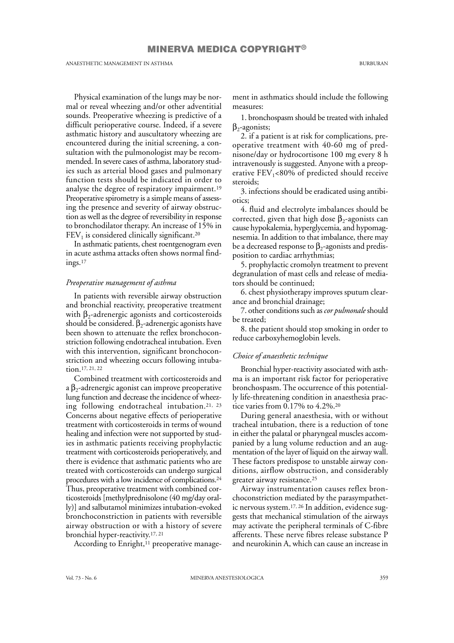# MINERVA MEDICA COPYRIGHT®

ANAESTHETIC MANAGEMENT IN ASTHMA BURBURAN

Physical examination of the lungs may be normal or reveal wheezing and/or other adventitial sounds. Preoperative wheezing is predictive of a difficult perioperative course. Indeed, if a severe asthmatic history and auscultatory wheezing are encountered during the initial screening, a consultation with the pulmonologist may be recommended. In severe cases of asthma, laboratory studies such as arterial blood gases and pulmonary function tests should be indicated in order to analyse the degree of respiratory impairment.<sup>19</sup> Preoperative spirometry is a simple means of assessing the presence and severity of airway obstruction as well as the degree of reversibility in response to bronchodilator therapy. An increase of 15% in  $\mathrm{FEV}_1$  is considered clinically significant.<sup>20</sup>

In asthmatic patients, chest roentgenogram even in acute asthma attacks often shows normal findings.<sup>17</sup>

# *Preoperative management of asthma*

In patients with reversible airway obstruction and bronchial reactivity, preoperative treatment with  $\beta_2$ -adrenergic agonists and corticosteroids should be considered.  $\beta_2$ -adrenergic agonists have been shown to attenuate the reflex bronchoconstriction following endotracheal intubation. Even with this intervention, significant bronchoconstriction and wheezing occurs following intubation.17, 21, 22

Combined treatment with corticosteroids and a  $\beta_2$ -adrenergic agonist can improve preoperative lung function and decrease the incidence of wheezing following endotracheal intubation.21, 23 Concerns about negative effects of perioperative treatment with corticosteroids in terms of wound healing and infection were not supported by studies in asthmatic patients receiving prophylactic treatment with corticosteroids perioperatively, and there is evidence that asthmatic patients who are treated with corticosteroids can undergo surgical procedures with a low incidence of complications.<sup>24</sup> Thus, preoperative treatment with combined corticosteroids [methylprednisolone (40 mg/day orally)] and salbutamol minimizes intubation-evoked bronchoconstriction in patients with reversible airway obstruction or with a history of severe bronchial hyper-reactivity.17, 21

According to Enright,<sup>11</sup> preoperative manage-

ment in asthmatics should include the following measures:

1. bronchospasm should be treated with inhaled  $\beta_2$ -agonists;

2. if a patient is at risk for complications, preoperative treatment with 40-60 mg of prednisone/day or hydrocortisone 100 mg every 8 h intravenously is suggested. Anyone with a preoperative  $FEV_1 < 80\%$  of predicted should receive steroids;

3. infections should be eradicated using antibiotics;

4. fluid and electrolyte imbalances should be corrected, given that high dose  $\beta_2$ -agonists can cause hypokalemia, hyperglycemia, and hypomagnesemia. In addition to that imbalance, there may be a decreased response to  $\beta_2$ -agonists and predisposition to cardiac arrhythmias;

5. prophylactic cromolyn treatment to prevent degranulation of mast cells and release of mediators should be continued;

6. chest physiotherapy improves sputum clearance and bronchial drainage;

7. other conditions such as *cor pulmonale* should be treated;

8. the patient should stop smoking in order to reduce carboxyhemoglobin levels.

# *Choice of anaesthetic technique*

Bronchial hyper-reactivity associated with asthma is an important risk factor for perioperative bronchospasm. The occurrence of this potentially life-threatening condition in anaesthesia practice varies from 0.17% to 4.2%.<sup>20</sup>

During general anaesthesia, with or without tracheal intubation, there is a reduction of tone in either the palatal or pharyngeal muscles accompanied by a lung volume reduction and an augmentation of the layer of liquid on the airway wall. These factors predispose to unstable airway conditions, airflow obstruction, and considerably greater airway resistance.<sup>25</sup>

Airway instrumentation causes reflex bronchoconstriction mediated by the parasympathetic nervous system.17, 26 In addition, evidence suggests that mechanical stimulation of the airways may activate the peripheral terminals of C-fibre afferents. These nerve fibres release substance P and neurokinin A, which can cause an increase in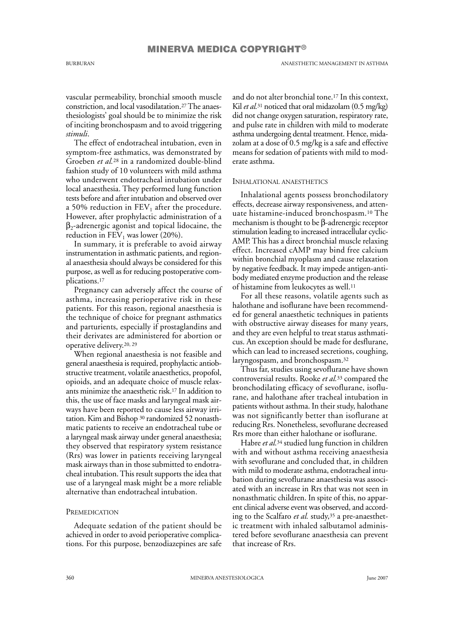MINERVA MEDICA COPYRIGHT®

vascular permeability, bronchial smooth muscle constriction, and local vasodilatation.27The anaesthesiologists' goal should be to minimize the risk of inciting bronchospasm and to avoid triggering *stimuli*.

The effect of endotracheal intubation, even in symptom-free asthmatics, was demonstrated by Groeben *et al.*<sup>28</sup> in a randomized double-blind fashion study of 10 volunteers with mild asthma who underwent endotracheal intubation under local anaesthesia. They performed lung function tests before and after intubation and observed over a 50% reduction in  $\rm{FEV}_1$  after the procedure. However, after prophylactic administration of a  $\beta_2$ -adrenergic agonist and topical lidocaine, the reduction in  $FEV<sub>1</sub>$  was lower (20%).

In summary, it is preferable to avoid airway instrumentation in asthmatic patients, and regional anaesthesia should always be considered for this purpose, as well as for reducing postoperative complications.<sup>17</sup>

Pregnancy can adversely affect the course of asthma, increasing perioperative risk in these patients. For this reason, regional anaesthesia is the technique of choice for pregnant asthmatics and parturients, especially if prostaglandins and their derivates are administered for abortion or operative delivery.20, 29

When regional anaesthesia is not feasible and general anaesthesia is required, prophylactic antiobstructive treatment, volatile anaesthetics, propofol, opioids, and an adequate choice of muscle relaxants minimize the anaesthetic risk.<sup>17</sup> In addition to this, the use of face masks and laryngeal mask airways have been reported to cause less airway irritation. Kim and Bishop <sup>30</sup> randomized 52 nonasthmatic patients to receive an endotracheal tube or a laryngeal mask airway under general anaesthesia; they observed that respiratory system resistance (Rrs) was lower in patients receiving laryngeal mask airways than in those submitted to endotracheal intubation. This result supports the idea that use of a laryngeal mask might be a more reliable alternative than endotracheal intubation.

# **PREMEDICATION**

Adequate sedation of the patient should be achieved in order to avoid perioperative complications. For this purpose, benzodiazepines are safe and do not alter bronchial tone.<sup>17</sup> In this context, Kil *et al.*<sup>31</sup> noticed that oral midazolam (0.5 mg/kg) did not change oxygen saturation, respiratory rate, and pulse rate in children with mild to moderate asthma undergoing dental treatment. Hence, midazolam at a dose of 0.5 mg/kg is a safe and effective means for sedation of patients with mild to moderate asthma.

#### INHALATIONAL ANAESTHETICS

Inhalational agents possess bronchodilatory effects, decrease airway responsiveness, and attenuate histamine-induced bronchospasm.<sup>10</sup> The mechanism is thought to be β-adrenergic receptor stimulation leading to increased intracellular cyclic-AMP. This has a direct bronchial muscle relaxing effect. Increased cAMP may bind free calcium within bronchial myoplasm and cause relaxation by negative feedback. It may impede antigen-antibody mediated enzyme production and the release of histamine from leukocytes as well.<sup>11</sup>

For all these reasons, volatile agents such as halothane and isoflurane have been recommended for general anaesthetic techniques in patients with obstructive airway diseases for many years, and they are even helpful to treat status asthmaticus. An exception should be made for desflurane, which can lead to increased secretions, coughing, laryngospasm, and bronchospasm.<sup>32</sup>

Thus far, studies using sevoflurane have shown controversial results. Rooke *et al.*<sup>33</sup> compared the bronchodilating efficacy of sevoflurane, isoflurane, and halothane after tracheal intubation in patients without asthma. In their study, halothane was not significantly better than isoflurane at reducing Rrs. Nonetheless, sevoflurane decreased Rrs more than either halothane or isoflurane.

Habre *et al.*<sup>34</sup> studied lung function in children with and without asthma receiving anaesthesia with sevoflurane and concluded that, in children with mild to moderate asthma, endotracheal intubation during sevoflurane anaesthesia was associated with an increase in Rrs that was not seen in nonasthmatic children. In spite of this, no apparent clinical adverse event was observed, and according to the Scalfaro *et al.* study,<sup>35</sup> a pre-anaesthetic treatment with inhaled salbutamol administered before sevoflurane anaesthesia can prevent that increase of Rrs.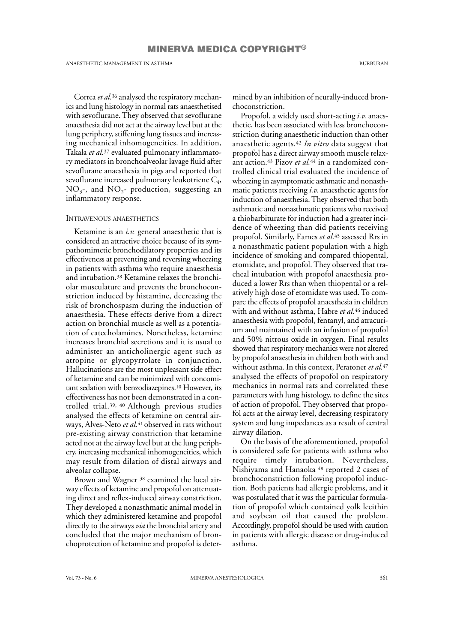Correa *et al.*<sup>36</sup> analysed the respiratory mechanics and lung histology in normal rats anaesthetised with sevoflurane. They observed that sevoflurane anaesthesia did not act at the airway level but at the lung periphery, stiffening lung tissues and increasing mechanical inhomogeneities. In addition, Takala *et al.*<sup>37</sup> evaluated pulmonary inflammatory mediators in bronchoalveolar lavage fluid after sevoflurane anaesthesia in pigs and reported that sevoflurane increased pulmonary leukotriene  $\emph{\emph{C}}_{4}$ ,  $\rm NO_{3}$ -, and  $\rm NO_{2}$ - production, suggesting an inflammatory response.

### INTRAVENOUS ANAESTHETICS

Ketamine is an *i.v.* general anaesthetic that is considered an attractive choice because of its sympathomimetic bronchodilatory properties and its effectiveness at preventing and reversing wheezing in patients with asthma who require anaesthesia and intubation.<sup>38</sup> Ketamine relaxes the bronchiolar musculature and prevents the bronchoconstriction induced by histamine, decreasing the risk of bronchospasm during the induction of anaesthesia. These effects derive from a direct action on bronchial muscle as well as a potentiation of catecholamines. Nonetheless, ketamine increases bronchial secretions and it is usual to administer an anticholinergic agent such as atropine or glycopyrrolate in conjunction. Hallucinations are the most unpleasant side effect of ketamine and can be minimized with concomitant sedation with benzodiazepines.<sup>10</sup> However, its effectiveness has not been demonstrated in a controlled trial.39, 40 Although previous studies analysed the effects of ketamine on central airways, Alves-Neto *et al.*41 observed in rats without pre-existing airway constriction that ketamine acted not at the airway level but at the lung periphery, increasing mechanical inhomogeneities, which may result from dilation of distal airways and alveolar collapse.

Brown and Wagner <sup>38</sup> examined the local airway effects of ketamine and propofol on attenuating direct and reflex-induced airway constriction. They developed a nonasthmatic animal model in which they administered ketamine and propofol directly to the airways *via* the bronchial artery and concluded that the major mechanism of bronchoprotection of ketamine and propofol is determined by an inhibition of neurally-induced bronchoconstriction.

Propofol, a widely used short-acting *i.v.* anaesthetic, has been associated with less bronchoconstriction during anaesthetic induction than other anaesthetic agents.<sup>42</sup> *In vitro* data suggest that propofol has a direct airway smooth muscle relaxant action.<sup>43</sup> Pizov *et al.*<sup>44</sup> in a randomized controlled clinical trial evaluated the incidence of wheezing in asymptomatic asthmatic and nonasthmatic patients receiving *i.v.* anaesthetic agents for induction of anaesthesia. They observed that both asthmatic and nonasthmatic patients who received a thiobarbiturate for induction had a greater incidence of wheezing than did patients receiving propofol. Similarly, Eames *et al.*<sup>45</sup> assessed Rrs in a nonasthmatic patient population with a high incidence of smoking and compared thiopental, etomidate, and propofol. They observed that tracheal intubation with propofol anaesthesia produced a lower Rrs than when thiopental or a relatively high dose of etomidate was used. To compare the effects of propofol anaesthesia in children with and without asthma, Habre *et al.*<sup>46</sup> induced anaesthesia with propofol, fentanyl, and atracurium and maintained with an infusion of propofol and 50% nitrous oxide in oxygen. Final results showed that respiratory mechanics were not altered by propofol anaesthesia in children both with and without asthma. In this context, Peratoner *et al.*<sup>47</sup> analysed the effects of propofol on respiratory mechanics in normal rats and correlated these parameters with lung histology, to define the sites of action of propofol. They observed that propofol acts at the airway level, decreasing respiratory system and lung impedances as a result of central airway dilation.

On the basis of the aforementioned, propofol is considered safe for patients with asthma who require timely intubation. Nevertheless, Nishiyama and Hanaoka <sup>48</sup> reported 2 cases of bronchoconstriction following propofol induction. Both patients had allergic problems, and it was postulated that it was the particular formulation of propofol which contained yolk lecithin and soybean oil that caused the problem. Accordingly, propofol should be used with caution in patients with allergic disease or drug-induced asthma.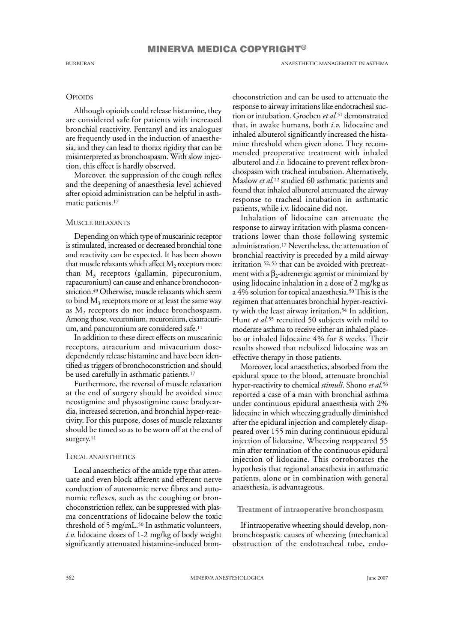BURBURAN ANAESTHETIC MANAGEMENT IN ASTHMA

# **OPIOIDS**

Although opioids could release histamine, they are considered safe for patients with increased bronchial reactivity. Fentanyl and its analogues are frequently used in the induction of anaesthesia, and they can lead to thorax rigidity that can be misinterpreted as bronchospasm. With slow injection, this effect is hardly observed.

Moreover, the suppression of the cough reflex and the deepening of anaesthesia level achieved after opioid administration can be helpful in asthmatic patients.<sup>17</sup>

# MUSCLE RELAXANTS

Depending on which type of muscarinic receptor is stimulated, increased or decreased bronchial tone and reactivity can be expected. It has been shown that muscle relaxants which affect  $\mathrm{M}_2$  receptors more than  $M_3$  receptors (gallamin, pipecuronium, rapacuronium) can cause and enhance bronchoconstriction.<sup>49</sup> Otherwise, muscle relaxants which seem to bind  $\mathrm{M}_3$  receptors more or at least the same way as  $\mathrm{M}_2$  receptors do not induce bronchospasm. Among those, vecuronium, rocuronium, cisatracurium, and pancuronium are considered safe.<sup>11</sup>

In addition to these direct effects on muscarinic receptors, atracurium and mivacurium dosedependently release histamine and have been identified as triggers of bronchoconstriction and should be used carefully in asthmatic patients.<sup>17</sup>

Furthermore, the reversal of muscle relaxation at the end of surgery should be avoided since neostigmine and physostigmine cause bradycardia, increased secretion, and bronchial hyper-reactivity. For this purpose, doses of muscle relaxants should be timed so as to be worn off at the end of surgery.<sup>11</sup>

# LOCAL ANAESTHETICS

Local anaesthetics of the amide type that attenuate and even block afferent and efferent nerve conduction of autonomic nerve fibres and autonomic reflexes, such as the coughing or bronchoconstriction reflex, can be suppressed with plasma concentrations of lidocaine below the toxic threshold of 5 mg/mL.<sup>50</sup> In asthmatic volunteers, *i.v.* lidocaine doses of 1-2 mg/kg of body weight significantly attenuated histamine-induced bronchoconstriction and can be used to attenuate the response to airway irritations like endotracheal suction or intubation. Groeben *et al.*<sup>51</sup> demonstrated that, in awake humans, both *i.v.* lidocaine and inhaled albuterol significantly increased the histamine threshold when given alone. They recommended preoperative treatment with inhaled albuterol and *i.v.* lidocaine to prevent reflex bronchospasm with tracheal intubation. Alternatively, Maslow *et al.*<sup>22</sup> studied 60 asthmatic patients and found that inhaled albuterol attenuated the airway response to tracheal intubation in asthmatic patients, while i.v. lidocaine did not.

Inhalation of lidocaine can attenuate the response to airway irritation with plasma concentrations lower than those following systemic administration.<sup>17</sup> Nevertheless, the attenuation of bronchial reactivity is preceded by a mild airway irritation 52, 53 that can be avoided with pretreatment with a  $\beta_2$ -adrenergic agonist or minimized by using lidocaine inhalation in a dose of 2 mg/kg as a 4% solution for topical anaesthesia.50This is the regimen that attenuates bronchial hyper-reactivity with the least airway irritation.<sup>54</sup> In addition, Hunt *et al.*<sup>55</sup> recruited 50 subjects with mild to moderate asthma to receive either an inhaled placebo or inhaled lidocaine 4% for 8 weeks. Their results showed that nebulized lidocaine was an effective therapy in those patients.

Moreover, local anaesthetics, absorbed from the epidural space to the blood, attenuate bronchial hyper-reactivity to chemical *stimuli*. Shono *et al.*<sup>56</sup> reported a case of a man with bronchial asthma under continuous epidural anaesthesia with 2% lidocaine in which wheezing gradually diminished after the epidural injection and completely disappeared over 155 min during continuous epidural injection of lidocaine. Wheezing reappeared 55 min after termination of the continuous epidural injection of lidocaine. This corroborates the hypothesis that regional anaesthesia in asthmatic patients, alone or in combination with general anaesthesia, is advantageous.

# **Treatment of intraoperative bronchospasm**

If intraoperative wheezing should develop, nonbronchospastic causes of wheezing (mechanical obstruction of the endotracheal tube, endo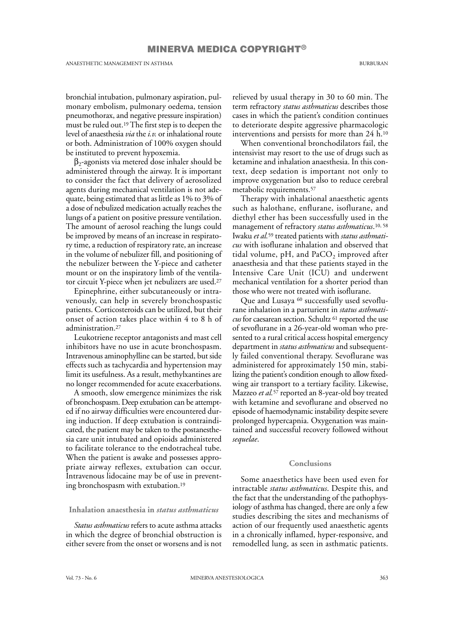bronchial intubation, pulmonary aspiration, pulmonary embolism, pulmonary oedema, tension pneumothorax, and negative pressure inspiration) must be ruled out.19The first step is to deepen the level of anaesthesia *via* the *i.v.* or inhalational route or both. Administration of 100% oxygen should be instituted to prevent hypoxemia.

 $\beta_2$ -agonists via metered dose inhaler should be administered through the airway. It is important to consider the fact that delivery of aerosolized agents during mechanical ventilation is not adequate, being estimated that as little as 1% to 3% of a dose of nebulized medication actually reaches the lungs of a patient on positive pressure ventilation. The amount of aerosol reaching the lungs could be improved by means of an increase in respiratory time, a reduction of respiratory rate, an increase in the volume of nebulizer fill, and positioning of the nebulizer between the Y-piece and catheter mount or on the inspiratory limb of the ventilator circuit Y-piece when jet nebulizers are used.<sup>27</sup>

Epinephrine, either subcutaneously or intravenously, can help in severely bronchospastic patients. Corticosteroids can be utilized, but their onset of action takes place within 4 to 8 h of administration.<sup>27</sup>

Leukotriene receptor antagonists and mast cell inhibitors have no use in acute bronchospasm. Intravenous aminophylline can be started, but side effects such as tachycardia and hypertension may limit its usefulness. As a result, methylxantines are no longer recommended for acute exacerbations.

A smooth, slow emergence minimizes the risk of bronchospasm. Deep extubation can be attempted if no airway difficulties were encountered during induction. If deep extubation is contraindicated, the patient may be taken to the postanesthesia care unit intubated and opioids administered to facilitate tolerance to the endotracheal tube. When the patient is awake and possesses appropriate airway reflexes, extubation can occur. Intravenous lidocaine may be of use in preventing bronchospasm with extubation.<sup>19</sup>

**Inhalation anaesthesia in** *status asthmaticus*

*Status asthmaticus* refers to acute asthma attacks in which the degree of bronchial obstruction is either severe from the onset or worsens and is not relieved by usual therapy in 30 to 60 min. The term refractory *status asthmaticus* describes those cases in which the patient's condition continues to deteriorate despite aggressive pharmacologic interventions and persists for more than 24 h.<sup>10</sup>

When conventional bronchodilators fail, the intensivist may resort to the use of drugs such as ketamine and inhalation anaesthesia. In this context, deep sedation is important not only to improve oxygenation but also to reduce cerebral metabolic requirements.<sup>57</sup>

Therapy with inhalational anaesthetic agents such as halothane, enflurane, isoflurane, and diethyl ether has been successfully used in the management of refractory *status asthmaticus*. 10, 58 Iwaku *et al.*<sup>59</sup> treated patients with *status asthmaticus* with isoflurane inhalation and observed that tidal volume, pH, and PaCO<sub>2</sub> improved after anaesthesia and that these patients stayed in the Intensive Care Unit (ICU) and underwent mechanical ventilation for a shorter period than those who were not treated with isoflurane.

Que and Lusaya <sup>60</sup> successfully used sevoflurane inhalation in a parturient in *status asthmaticus* for caesarean section. Schultz <sup>61</sup> reported the use of sevoflurane in a 26-year-old woman who presented to a rural critical access hospital emergency department in *status asthmaticus* and subsequently failed conventional therapy. Sevoflurane was administered for approximately 150 min, stabilizing the patient's condition enough to allow fixedwing air transport to a tertiary facility. Likewise, Mazzeo *et al.*<sup>57</sup> reported an 8-year-old boy treated with ketamine and sevoflurane and observed no episode of haemodynamic instability despite severe prolonged hypercapnia. Oxygenation was maintained and successful recovery followed without *sequelae*.

# **Conclusions**

Some anaesthetics have been used even for intractable *status asthmaticus*. Despite this, and the fact that the understanding of the pathophysiology of asthma has changed, there are only a few studies describing the sites and mechanisms of action of our frequently used anaesthetic agents in a chronically inflamed, hyper-responsive, and remodelled lung, as seen in asthmatic patients.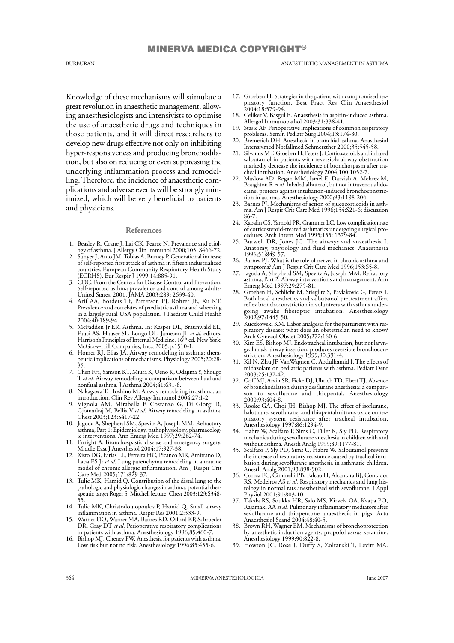Knowledge of these mechanisms will stimulate a great revolution in anaesthetic management, allowing anaesthesiologists and intensivists to optimise the use of anaesthetic drugs and techniques in those patients, and it will direct researchers to develop new drugs effective not only on inhibiting hyper-responsiveness and producing bronchodilation, but also on reducing or even suppressing the underlying inflammation process and remodelling. Therefore, the incidence of anaesthetic complications and adverse events will be strongly minimized, which will be very beneficial to patients and physicians.

#### **References**

- 1. Beasley R, Crane J, Lai CK, Pearce N. Prevalence and etiology of asthma. J Allergy Clin Immunol 2000;105: S466-72.
- 2. Sunyer J, Anto JM, Tobias A, Burney P. Generational increase of self-reported first attack of asthma in fifteen industrialized countries. European Community Respiratory Health Study (ECRHS). Eur Respir J 1999;14:885-91.
- 3. CDC. From the Centers for Disease Control and Prevention. Self-reported asthma prevalence and control among adults-United States, 2001. JAMA 2003;289: 2639-40.
- 4. Arif AA, Borders TF, Patterson PJ, Rohrer JE, Xu KT. Prevalence and correlates of paediatric asthma and wheezing in a largely rural USA population. J Paediatr Child Health 2004;40:189-94.
- 5. McFadden Jr ER. Asthma. In: Kasper DL, Braunwald EL, Fauci AS, Hauser SL, Longo DL, Jameson JL *et al.* editors. Harrison's Principles of Internal Medicine. 16th ed. New York: McGraw-Hill Companies, Inc.; 2005.p.1510-1.
- 6. Homer RJ, Elias JA. Airway remodeling in asthma: therapeutic implications of mechanisms. Physiology 2005;20:28- 35.
- 7. Chen FH, Samson KT, Miura K, Ueno K, Odajima Y, Shougo T *et al.* Airway remodeling: a comparison between fatal and nonfatal asthma. J Asthma 2004;41:631-8.
- 8. Nakagawa T, Hoshino M. Airway remodeling in asthma: an introduction. Clin Rev Allergy Immunol 2004;27:1-2.
- 9. Vignola AM, Mirabella F, Costanzo G, Di Giorgi R, Gjomarkaj M, Bellia V *et al.* Airway remodeling in asthma. Chest 2003;123:S417-22.
- 10. Jagoda A, Shepherd SM, Spevitz A, Joseph MM. Refractory asthma, Part 1: Epidemiology, pathophysiology, pharmacologic interventions. Ann Emerg Med 1997;29:262-74.
- 11. Enright A. Bronchospastic disease and emergency surgery. Middle East J Anesthesiol 2004;17:927-38.
- 12. Xisto DG, Farias LL, Ferreira HC, Picanco MR, Amitrano D, Lapa ES Jr *et al.* Lung parenchyma remodeling in a murine model of chronic allergic inflammation. Am J Respir Crit Care Med 2005;171:829-37.
- 13. Tulic MK, Hamid Q. Contribution of the distal lung to the pathologic and physiologic changes in asthma: potential therapeutic target Roger S. Mitchell lecture. Chest 2003;123:S348- 55.
- 14. Tulic MK, Christodoulopoulos P, Hamid Q. Small airway inflammation in asthma. Respir Res 2001;2:333-9.
- 15. Warner DO, Warner MA, Barnes RD, Offord KP, Schroeder DR, Gray DT *et al.* Perioperative respiratory complications in patients with asthma. Anesthesiology 1996;85:460-7.
- 16. Bishop MJ, Cheney FW. Anesthesia for patients with asthma. Low risk but not no risk. Anesthesiology 1996;85:455-6.
- 17. Groeben H. Strategies in the patient with compromised respiratory function. Best Pract Res Clin Anaesthesiol 2004;18:579-94.
- 18. Celiker V, Basgul E. Anaesthesia in aspirin-induced asthma. Allergol Immunopathol 2003;31:338-41.
- 19. Stasic AF. Perioperative implications of common respiratory problems. Semin Pediatr Surg 2004;13:174-80.
- 20. Bremerich DH. Anesthesia in bronchial asthma. Anasthesiol Intensivmed Notfallmed Schmerzther 2000;35:545-58.
- 21. Silvanus MT, Groeben H, Peters J. Corticosteroids and inhaled salbutamol in patients with reversible airway obstruction markedly decrease the incidence of bronchospasm after tracheal intubation. Anesthesiology 2004;100:1052-7.
- 22. Maslow AD, Regan MM, Israel E, Darvish A, Mehrez M, Boughton R *et al.* Inhaled albuterol, but not intravenous lidocaine, protects against intubation-induced bronchoconstriction in asthma. Anesthesiology 2000;93:1198-204.
- 23. Barnes PJ. Mechanisms of action of glucocorticoids in asthma. Am J Respir Crit Care Med 1996;154:S21-6; discussion S6-7.
- 24. Kabalin CS, Yarnold PR, Grammer LC. Low complication rate of corticosteroid-treated asthmatics undergoing surgical procedures. Arch Intern Med 1995;155: 1379-84.
- 25. Burwell DR, Jones JG. The airways and anaesthesia I. Anatomy, physiology and fluid mechanics. Anaesthesia 1996;51:849-57.
- 26. Barnes PJ. What is the role of nerves in chronic asthma and symptoms? Am J Respir Crit Care Med 1996;153:S5-8.
- 27. Jagoda A, Shepherd SM, Spevitz A, Joseph MM. Refractory asthma, Part 2: Airway interventions and management. Ann Emerg Med 1997;29:275-81.
- 28. Groeben H, Schlicht M, Stieglitz S, Pavlakovic G, Peters J. Both local anesthetics and salbutamol pretreatment affect reflex bronchoconstriction in volunteers with asthma undergoing awake fiberoptic intubation. Anesthesiology 2002;97:1445-50.
- 29. Kuczkowski KM. Labor analgesia for the parturient with respiratory disease: what does an obstetrician need to know? Arch Gynecol Obstet 2005;272:160-6.
- 30. Kim ES, Bishop MJ. Endotracheal intubation, but not laryngeal mask airway insertion, produces reversible bronchoconstriction. Anesthesiology 1999;90:391-4.
- 31. Kil N, Zhu JF, VanWagnen C, Abdulhamid I. The effects of midazolam on pediatric patients with asthma. Pediatr Dent 2003;25:137-42.
- 32. Goff MJ, Arain SR, Ficke DJ, Uhrich TD, Ebert TJ. Absence of bronchodilation during desflurane anesthesia: a comparison to sevoflurane and thiopental. Anesthesiology 2000;93:404-8.
- 33. Rooke GA, Choi JH, Bishop MJ. The effect of isoflurane, halothane, sevoflurane, and thiopental/nitrous oxide on respiratory system resistance after tracheal intubation. Anesthesiology 1997;86:1294-9.
- 34. Habre W, Scalfaro P, Sims C, Tiller K, Sly PD. Respiratory mechanics during sevoflurane anesthesia in children with and without asthma. Anesth Analg 1999;89:1177-81.
- 35. Scalfaro P, Sly PD, Sims C, Habre W. Salbutamol prevents the increase of respiratory resistance caused by tracheal intubation during sevoflurane anesthesia in asthmatic children. Anesth Analg 2001;93:898-902.
- 36. Correa FC, Ciminelli PB, Falcao H, Alcantara BJ, Contador RS, Medeiros AS *et al.* Respiratory mechanics and lung histology in normal rats anesthetized with sevoflurane. J Appl Physiol 2001;91:803-10.
- 37. Takala RS, Soukka HR, Salo MS, Kirvela OA, Kaapa PO, Rajamaki AA *et al.* Pulmonary inflammatory mediators after sevoflurane and thiopentone anaesthesia in pigs. Acta Anaesthesiol Scand 2004;48:40-5.
- 38. Brown RH, Wagner EM. Mechanisms of bronchoprotection by anesthetic induction agents: propofol *versus* ketamine. Anesthesiology 1999;90:822-8.
- 39. Howton JC, Rose J, Duffy S, Zoltanski T, Levitt MA.